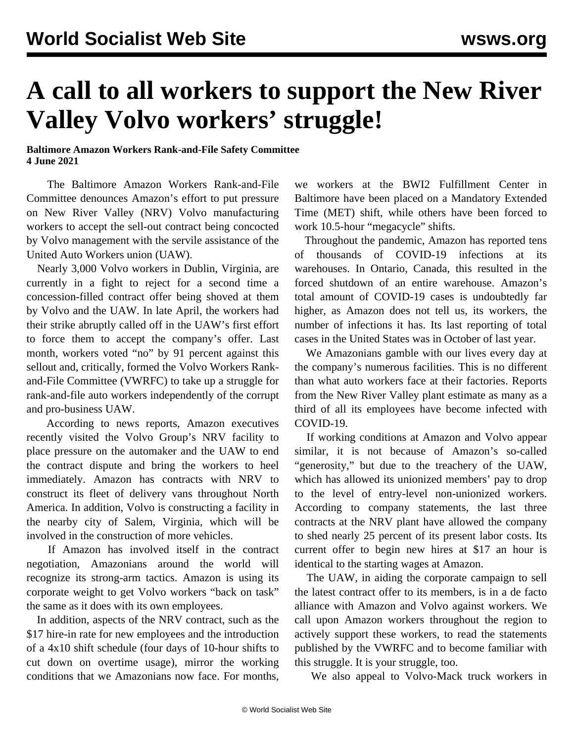## **A call to all workers to support the New River Valley Volvo workers' struggle!**

## **Baltimore Amazon Workers Rank-and-File Safety Committee 4 June 2021**

 The Baltimore Amazon Workers Rank-and-File Committee denounces Amazon's effort to put pressure on New River Valley (NRV) Volvo manufacturing workers to accept the sell-out contract being concocted by Volvo management with the servile assistance of the United Auto Workers union (UAW).

 Nearly 3,000 Volvo workers in Dublin, Virginia, are currently in a fight to [reject](/en/articles/2021/05/29/volv-m29.html) for a second time a concession-filled contract offer being shoved at them by Volvo and the UAW. In late April, the workers had their strike abruptly called off in the UAW's first effort to force them to accept the company's offer. Last month, workers [voted](/en/articles/2021/05/17/volv-m17.html) "no" by 91 percent against this sellout and, critically, formed the Volvo Workers Rankand-File Committee (VWRFC) to take up a struggle for rank-and-file auto workers independently of the [corrupt](/en/articles/2021/05/06/pers-m06.html) [and pro-business](/en/articles/2021/05/06/pers-m06.html) UAW.

 According to news [reports](/en/articles/2021/05/25/volv-m25.html), Amazon executives recently visited the Volvo Group's NRV facility to place pressure on the automaker and the UAW to end the contract dispute and bring the workers to heel immediately. Amazon has contracts with NRV to construct its fleet of delivery vans throughout North America. In addition, Volvo is constructing a facility in the nearby city of Salem, Virginia, which will be involved in the construction of more vehicles.

 If Amazon has involved itself in the contract negotiation, Amazonians around the world will recognize its strong-arm tactics. Amazon is using its corporate weight to get Volvo workers "back on task" the same as it does with its own employees.

 In addition, aspects of the NRV contract, such as the \$17 hire-in rate for new employees and the introduction of a 4x10 shift schedule (four days of 10-hour shifts to cut down on overtime usage), mirror the working conditions that we Amazonians now face. For months, we workers at the BWI2 Fulfillment Center in Baltimore have been placed on a Mandatory Extended Time (MET) shift, while others have been forced to work 10.5-hour "megacycle" shifts.

 Throughout the pandemic, Amazon has reported [tens](/en/articles/2020/10/03/amaz-o03.html) [of thousands](/en/articles/2020/10/03/amaz-o03.html) of COVID-19 infections at its warehouses. In Ontario, Canada, this resulted in the forced shutdown of an [entire warehouse.](/en/articles/2021/03/15/onta-m15.html) Amazon's total amount of COVID-19 cases is undoubtedly far higher, as Amazon does not tell us, its workers, the number of infections it has. Its last reporting of total cases in the United States was in October of last year.

 We Amazonians gamble with our lives every day at the company's numerous facilities. This is no different than what auto workers face at their factories. Reports from the New River Valley plant estimate as many as a third of all its employees have become infected with COVID-19.

 If working conditions at Amazon and Volvo appear similar, it is not because of Amazon's so-called "generosity," but due to the treachery of the UAW, which has allowed its unionized members' pay to drop to the level of entry-level non-unionized workers. According to company statements, the last three contracts at the NRV plant have allowed the company to shed nearly 25 percent of its present labor costs. Its current offer to begin new hires at \$17 an hour is identical to the starting wages at Amazon.

 The UAW, in aiding the corporate campaign to sell the latest contract offer to its members, is in a de facto alliance with Amazon and Volvo against workers. We call upon Amazon workers throughout the region to actively support these workers, to read the statements published by the VWRFC and to become familiar with this struggle. It is your struggle, too.

We also appeal to Volvo-Mack truck workers in